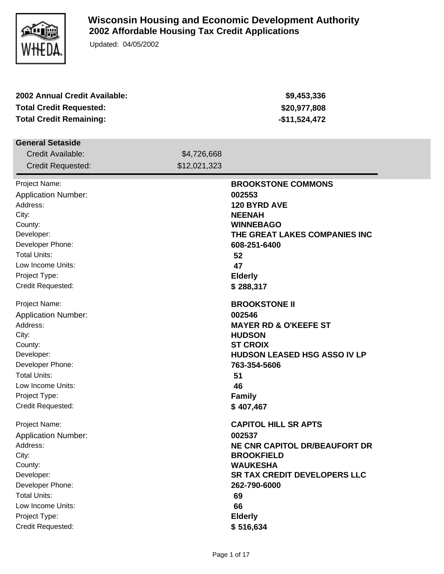

## **Wisconsin Housing and Economic Development Authority 2002 Affordable Housing Tax Credit Applications**

Updated: 04/05/2002

| 2002 Annual Credit Available:  |              | \$9,453,336                          |
|--------------------------------|--------------|--------------------------------------|
| <b>Total Credit Requested:</b> |              | \$20,977,808                         |
| <b>Total Credit Remaining:</b> |              | $-$11,524,472$                       |
|                                |              |                                      |
| <b>General Setaside</b>        |              |                                      |
| Credit Available:              | \$4,726,668  |                                      |
| <b>Credit Requested:</b>       | \$12,021,323 |                                      |
| Project Name:                  |              | <b>BROOKSTONE COMMONS</b>            |
| <b>Application Number:</b>     |              | 002553                               |
| Address:                       |              | 120 BYRD AVE                         |
| City:                          |              | <b>NEENAH</b>                        |
| County:                        |              | <b>WINNEBAGO</b>                     |
| Developer:                     |              | THE GREAT LAKES COMPANIES INC        |
| Developer Phone:               |              | 608-251-6400                         |
| <b>Total Units:</b>            |              | 52                                   |
| Low Income Units:              |              | 47                                   |
| Project Type:                  |              | <b>Elderly</b>                       |
| Credit Requested:              |              | \$288,317                            |
| Project Name:                  |              | <b>BROOKSTONE II</b>                 |
| <b>Application Number:</b>     |              | 002546                               |
| Address:                       |              | <b>MAYER RD &amp; O'KEEFE ST</b>     |
| City:                          |              | <b>HUDSON</b>                        |
| County:                        |              | <b>ST CROIX</b>                      |
| Developer:                     |              | <b>HUDSON LEASED HSG ASSO IV LP</b>  |
| Developer Phone:               |              | 763-354-5606                         |
| <b>Total Units:</b>            |              | 51                                   |
| Low Income Units:              |              | 46                                   |
| Project Type:                  |              | <b>Family</b>                        |
| Credit Requested:              |              | \$407,467                            |
| Project Name:                  |              | <b>CAPITOL HILL SR APTS</b>          |
| <b>Application Number:</b>     |              | 002537                               |
| Address:                       |              | <b>NE CNR CAPITOL DR/BEAUFORT DR</b> |
| City:                          |              | <b>BROOKFIELD</b>                    |
| County:                        |              | <b>WAUKESHA</b>                      |
| Developer:                     |              | <b>SR TAX CREDIT DEVELOPERS LLC</b>  |
| Developer Phone:               |              | 262-790-6000                         |
| <b>Total Units:</b>            |              | 69                                   |
| Low Income Units:              |              | 66                                   |
| Project Type:                  |              | <b>Elderly</b>                       |
| Credit Requested:              |              | \$516,634                            |
|                                |              |                                      |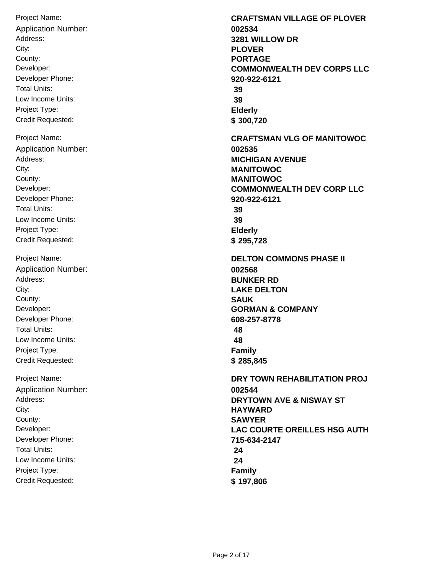Project Name: Address: City: Developer: Developer Phone: Total Units: Low Income Units: Project Type: Credit Requested: County: **PORTAGE** Application Number: **002534** Project Name: Address: City: Developer: Developer Phone: Total Units: Low Income Units: Project Type: Credit Requested: County: **MANITOWOC** Application Number: **002535** Project Name: Address: City: Developer: Developer Phone: Total Units: Low Income Units: Project Type: Credit Requested: County: **SAUK** Application Number: **002568** Project Name: Address: City: Developer: Developer Phone: Total Units: Low Income Units: Project Type: Credit Requested: County: **SAWYER** Application Number: **002544**

**CRAFTSMAN VILLAGE OF PLOVER 3281 WILLOW DR PLOVER COMMONWEALTH DEV CORPS LLC 920-922-6121 39 39 Elderly \$ 300,720 CRAFTSMAN VLG OF MANITOWOC MICHIGAN AVENUE MANITOWOC COMMONWEALTH DEV CORP LLC 920-922-6121 39 39 Elderly \$ 295,728 DELTON COMMONS PHASE II BUNKER RD LAKE DELTON GORMAN & COMPANY 608-257-8778 48 48 Family \$ 285,845 DRY TOWN REHABILITATION PROJ DRYTOWN AVE & NISWAY ST HAYWARD LAC COURTE OREILLES HSG AUTH 715-634-2147 24 24 Family \$ 197,806**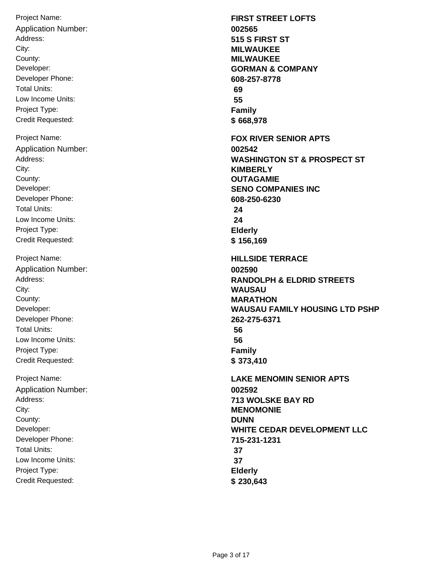Project Name: Address: City: Developer: Developer Phone: Total Units: Low Income Units: Project Type: Credit Requested: County: **MILWAUKEE** Application Number: **002565** Project Name: Address: City: Developer: Developer Phone: Total Units: Low Income Units: Project Type: Credit Requested: County: **OUTAGAMIE** Application Number: **002542** Project Name: Address: City: Developer: Developer Phone: Total Units: Low Income Units: Project Type: Credit Requested: County: **MARATHON** Application Number: **002590** Project Name: Address: City: Developer: Developer Phone: Total Units: Low Income Units: Project Type: Credit Requested: County: **DUNN** Application Number: **002592**

**FIRST STREET LOFTS 515 S FIRST ST MILWAUKEE GORMAN & COMPANY 608-257-8778 69 55 Family \$ 668,978 FOX RIVER SENIOR APTS WASHINGTON ST & PROSPECT ST KIMBERLY SENO COMPANIES INC 608-250-6230 24 24 Elderly \$ 156,169 HILLSIDE TERRACE RANDOLPH & ELDRID STREETS WAUSAU WAUSAU FAMILY HOUSING LTD PSHP 262-275-6371 56 56 Family \$ 373,410 LAKE MENOMIN SENIOR APTS 713 WOLSKE BAY RD MENOMONIE WHITE CEDAR DEVELOPMENT LLC 715-231-1231 37 37 Elderly \$ 230,643**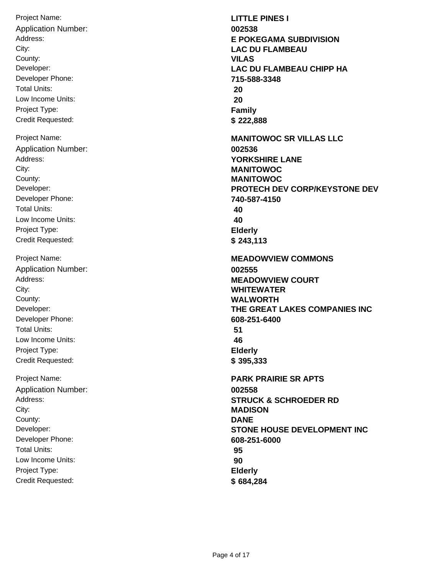Project Name: Address: City: Developer: Developer Phone: Total Units: Low Income Units: Project Type: Credit Requested: County: **VILAS** Application Number: **002538** Project Name: Address: City: Developer: Developer Phone: Total Units: Low Income Units: Project Type: Credit Requested: County: **MANITOWOC** Application Number: **002536** Project Name: Address: City: Developer: Developer Phone: Total Units: Low Income Units: Project Type: Credit Requested: County: **WALWORTH** Application Number: **002555** Project Name: Address: City: Developer: Developer Phone: Total Units: Low Income Units: Project Type: Credit Requested: County: **DANE** Application Number: **002558**

**LITTLE PINES I E POKEGAMA SUBDIVISION LAC DU FLAMBEAU LAC DU FLAMBEAU CHIPP HA 715-588-3348 20 20 Family \$ 222,888 MANITOWOC SR VILLAS LLC YORKSHIRE LANE MANITOWOC PROTECH DEV CORP/KEYSTONE DEV 740-587-4150 40 40 Elderly \$ 243,113 MEADOWVIEW COMMONS MEADOWVIEW COURT WHITEWATER THE GREAT LAKES COMPANIES INC 608-251-6400 51 46 Elderly \$ 395,333 PARK PRAIRIE SR APTS STRUCK & SCHROEDER RD MADISON STONE HOUSE DEVELOPMENT INC 608-251-6000 95 90 Elderly \$ 684,284**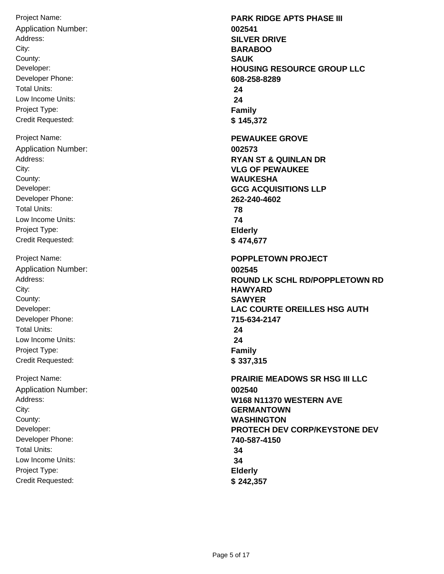Project Name: Address: City: Developer: Developer Phone: Total Units: Low Income Units: Project Type: Credit Requested: County: **SAUK** Application Number: **002541** Project Name: Address: City: Developer: Developer Phone: Total Units: Low Income Units: Project Type: Credit Requested: County: **WAUKESHA** Application Number: **002573** Project Name: Address: City: Developer: Developer Phone: Total Units: Low Income Units: Project Type: Credit Requested: County: **SAWYER** Application Number: **002545** Project Name: Address: City: Developer: Developer Phone: Total Units: Low Income Units: Project Type: Credit Requested: County: **WASHINGTON** Application Number: **002540**

**PARK RIDGE APTS PHASE III SILVER DRIVE BARABOO HOUSING RESOURCE GROUP LLC 608-258-8289 24 24 Family \$ 145,372 PEWAUKEE GROVE RYAN ST & QUINLAN DR VLG OF PEWAUKEE GCG ACQUISITIONS LLP 262-240-4602 78 74 Elderly \$ 474,677 POPPLETOWN PROJECT ROUND LK SCHL RD/POPPLETOWN RD HAWYARD LAC COURTE OREILLES HSG AUTH 715-634-2147 24 24 Family \$ 337,315 PRAIRIE MEADOWS SR HSG III LLC W168 N11370 WESTERN AVE GERMANTOWN PROTECH DEV CORP/KEYSTONE DEV 740-587-4150 34 34 Elderly \$ 242,357**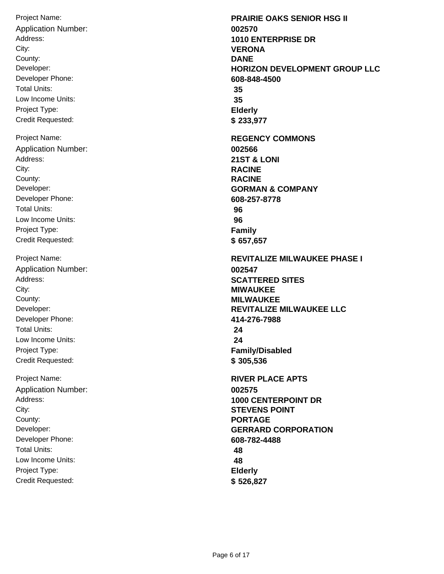Project Name: Address: City: Developer: Developer Phone: Total Units: Low Income Units: Project Type: Credit Requested: County: **DANE** Application Number: **002570** Project Name: Address: City: Developer: Developer Phone: Total Units: Low Income Units: Project Type: Credit Requested: County: **RACINE** Application Number: **002566** Project Name: Address: City: Developer: Developer Phone: Total Units: Low Income Units: Project Type: Credit Requested: County: **MILWAUKEE** Application Number: **002547** Project Name: Address: City: Developer: Developer Phone: Total Units: Low Income Units: Project Type: Credit Requested: County: **PORTAGE** Application Number: **002575**

**PRAIRIE OAKS SENIOR HSG II 1010 ENTERPRISE DR VERONA HORIZON DEVELOPMENT GROUP LLC 608-848-4500 35 35 Elderly \$ 233,977 REGENCY COMMONS 21ST & LONI RACINE GORMAN & COMPANY 608-257-8778 96 96 Family \$ 657,657 REVITALIZE MILWAUKEE PHASE I SCATTERED SITES MIWAUKEE REVITALIZE MILWAUKEE LLC 414-276-7988 24 24 Family/Disabled \$ 305,536 RIVER PLACE APTS 1000 CENTERPOINT DR STEVENS POINT GERRARD CORPORATION 608-782-4488 48 48 Elderly \$ 526,827**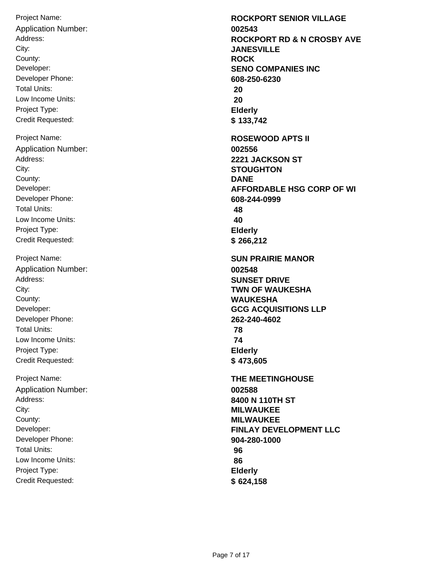Project Name: Address: City: Developer: Developer Phone: Total Units: Low Income Units: Project Type: Credit Requested: County: **ROCK** Application Number: **002543** Project Name: Address: City: Developer: Developer Phone: Total Units: Low Income Units: Project Type: Credit Requested: County: **DANE** Application Number: **002556** Project Name: Address: City: Developer: Developer Phone: Total Units: Low Income Units: Project Type: Credit Requested: County: **WAUKESHA** Application Number: **002548** Project Name: Address: City: Developer: Developer Phone: Total Units: Low Income Units: Project Type: Credit Requested: County: **MILWAUKEE** Application Number: **002588**

**ROCKPORT SENIOR VILLAGE ROCKPORT RD & N CROSBY AVE JANESVILLE SENO COMPANIES INC 608-250-6230 20 20 Elderly \$ 133,742 ROSEWOOD APTS II 2221 JACKSON ST STOUGHTON AFFORDABLE HSG CORP OF WI 608-244-0999 48 40 Elderly \$ 266,212 SUN PRAIRIE MANOR SUNSET DRIVE TWN OF WAUKESHA GCG ACQUISITIONS LLP 262-240-4602 78 74 Elderly \$ 473,605 THE MEETINGHOUSE 8400 N 110TH ST MILWAUKEE FINLAY DEVELOPMENT LLC 904-280-1000 96 86 Elderly \$ 624,158**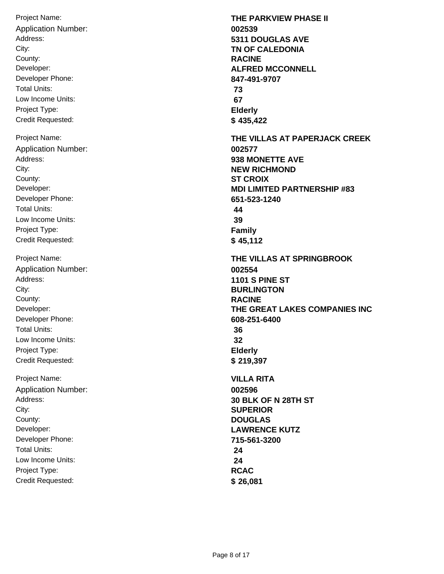Project Name: Address: City: Developer: Developer Phone: Total Units: Low Income Units: Project Type: Credit Requested: County: **RACINE** Application Number: **002539** Project Name: Address: City: Developer: Developer Phone: Total Units: Low Income Units: Project Type: Credit Requested: County: **ST CROIX** Application Number: **002577** Project Name: Address: City: Developer: Developer Phone: Total Units: Low Income Units: Project Type: Credit Requested: County: **RACINE** Application Number: **002554** Project Name: Address: City: Developer: Developer Phone: Total Units: Low Income Units: Project Type: Credit Requested: County: **DOUGLAS** Application Number: **002596**

**THE PARKVIEW PHASE II 5311 DOUGLAS AVE TN OF CALEDONIA ALFRED MCCONNELL 847-491-9707 73 67 Elderly \$ 435,422 THE VILLAS AT PAPERJACK CREEK 938 MONETTE AVE NEW RICHMOND MDI LIMITED PARTNERSHIP #83 651-523-1240 44 39 Family \$ 45,112 THE VILLAS AT SPRINGBROOK 1101 S PINE ST BURLINGTON THE GREAT LAKES COMPANIES INC 608-251-6400 36 32 Elderly \$ 219,397 VILLA RITA 30 BLK OF N 28TH ST SUPERIOR LAWRENCE KUTZ 715-561-3200 24 24 RCAC \$ 26,081**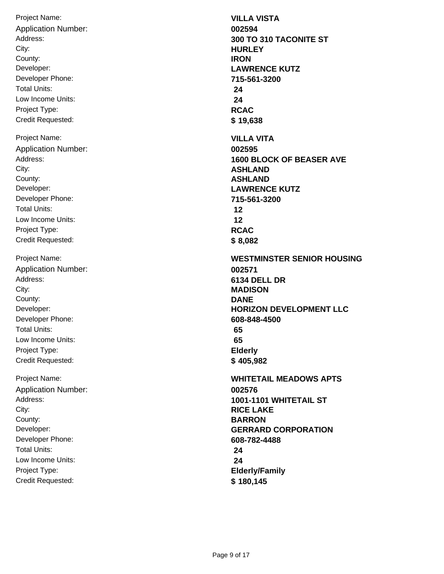Project Name: Address: City: Developer: Developer Phone: Total Units: Low Income Units: Project Type: Credit Requested: County: **IRON** Application Number: **002594** Project Name: Address: City: Developer: Developer Phone: Total Units: Low Income Units: Project Type: Credit Requested: County: **ASHLAND** Application Number: **002595** Project Name: Address: City: Developer: Developer Phone: Total Units: Low Income Units: Project Type: Credit Requested: County: **DANE** Application Number: **002571** Project Name: Address: City: Developer: Developer Phone: Total Units: Low Income Units: Project Type: Credit Requested: County: **BARRON** Application Number: **002576**

**VILLA VISTA 300 TO 310 TACONITE ST HURLEY LAWRENCE KUTZ 715-561-3200 24 24 RCAC \$ 19,638 VILLA VITA 1600 BLOCK OF BEASER AVE ASHLAND LAWRENCE KUTZ 715-561-3200 12 12 RCAC \$ 8,082 WESTMINSTER SENIOR HOUSING 6134 DELL DR MADISON HORIZON DEVELOPMENT LLC 608-848-4500 65 65 Elderly \$ 405,982 WHITETAIL MEADOWS APTS 1001-1101 WHITETAIL ST RICE LAKE GERRARD CORPORATION 608-782-4488 24 24 Elderly/Family \$ 180,145**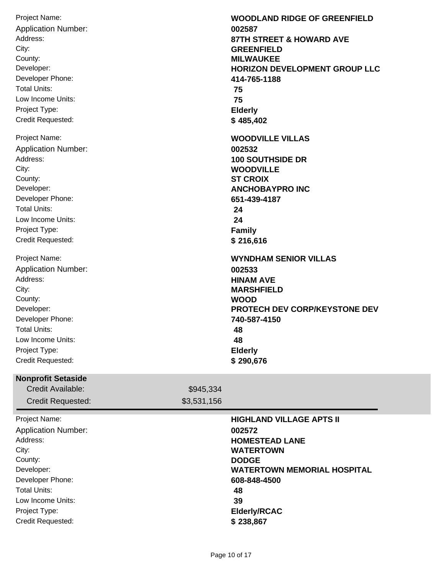| Project Name:<br><b>Application Number:</b><br>Address:<br>City:<br>County:<br>Developer:<br>Developer Phone:<br><b>Total Units:</b><br>Low Income Units:<br>Project Type:<br>Credit Requested:        |                          | <b>WOODLAND RIDGE OF GREENFIELD</b><br>002587<br><b>87TH STREET &amp; HOWARD AVE</b><br><b>GREENFIELD</b><br><b>MILWAUKEE</b><br><b>HORIZON DEVELOPMENT GROUP LLC</b><br>414-765-1188<br>75<br>75<br><b>Elderly</b><br>\$485,402 |
|--------------------------------------------------------------------------------------------------------------------------------------------------------------------------------------------------------|--------------------------|----------------------------------------------------------------------------------------------------------------------------------------------------------------------------------------------------------------------------------|
| Project Name:<br><b>Application Number:</b><br>Address:<br>City:<br>County:<br>Developer:<br>Developer Phone:<br><b>Total Units:</b><br>Low Income Units:<br>Project Type:<br><b>Credit Requested:</b> |                          | <b>WOODVILLE VILLAS</b><br>002532<br><b>100 SOUTHSIDE DR</b><br><b>WOODVILLE</b><br><b>ST CROIX</b><br><b>ANCHOBAYPRO INC</b><br>651-439-4187<br>24<br>24<br><b>Family</b><br>\$216,616                                          |
| Project Name:<br><b>Application Number:</b><br>Address:<br>City:<br>County:<br>Developer:<br>Developer Phone:<br><b>Total Units:</b><br>Low Income Units:<br>Project Type:<br>Credit Requested:        |                          | <b>WYNDHAM SENIOR VILLAS</b><br>002533<br><b>HINAM AVE</b><br><b>MARSHFIELD</b><br><b>WOOD</b><br>PROTECH DEV CORP/KEYSTONE DEV<br>740-587-4150<br>48<br>48<br><b>Elderly</b><br>\$290,676                                       |
| <b>Nonprofit Setaside</b><br>Credit Available:<br><b>Credit Requested:</b>                                                                                                                             | \$945,334<br>\$3,531,156 |                                                                                                                                                                                                                                  |
| Project Name:<br><b>Application Number:</b><br>Address:<br>City:<br>County:<br>Developer:<br>Developer Phone:<br><b>Total Units:</b><br>Low Income Units:<br>Project Type:<br>Credit Requested:        |                          | <b>HIGHLAND VILLAGE APTS II</b><br>002572<br><b>HOMESTEAD LANE</b><br><b>WATERTOWN</b><br><b>DODGE</b><br><b>WATERTOWN MEMORIAL HOSPITAL</b><br>608-848-4500<br>48<br>39<br><b>Elderly/RCAC</b><br>\$238,867                     |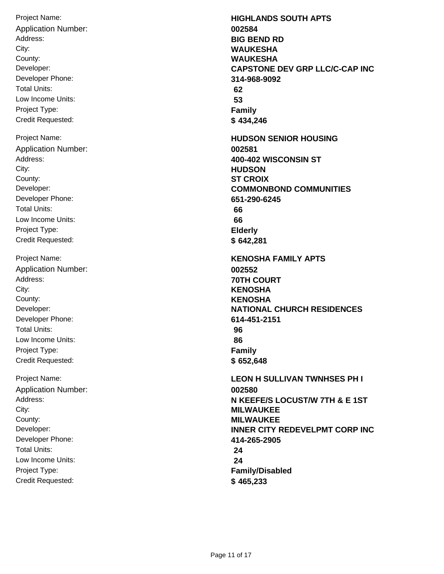Project Name: Address: City: Developer: Developer Phone: Total Units: Low Income Units: Project Type: Credit Requested: County: **WAUKESHA** Application Number: **002584** Project Name: Address: City: Developer: Developer Phone: Total Units: Low Income Units: Project Type: Credit Requested: County: **ST CROIX** Application Number: **002581** Project Name: Address: City: Developer: Developer Phone: Total Units: Low Income Units: Project Type: Credit Requested: County: **KENOSHA** Application Number: **002552** Project Name: Address: City: Developer: Developer Phone: Total Units: Low Income Units: Project Type: Credit Requested: County: **MILWAUKEE** Application Number: **002580**

**HIGHLANDS SOUTH APTS BIG BEND RD WAUKESHA CAPSTONE DEV GRP LLC/C-CAP INC 314-968-9092 62 53 Family \$ 434,246 HUDSON SENIOR HOUSING 400-402 WISCONSIN ST HUDSON COMMONBOND COMMUNITIES 651-290-6245 66 66 Elderly \$ 642,281 KENOSHA FAMILY APTS 70TH COURT KENOSHA NATIONAL CHURCH RESIDENCES 614-451-2151 96 86 Family \$ 652,648 LEON H SULLIVAN TWNHSES PH I N KEEFE/S LOCUST/W 7TH & E 1ST MILWAUKEE INNER CITY REDEVELPMT CORP INC 414-265-2905 24 24 Family/Disabled \$ 465,233**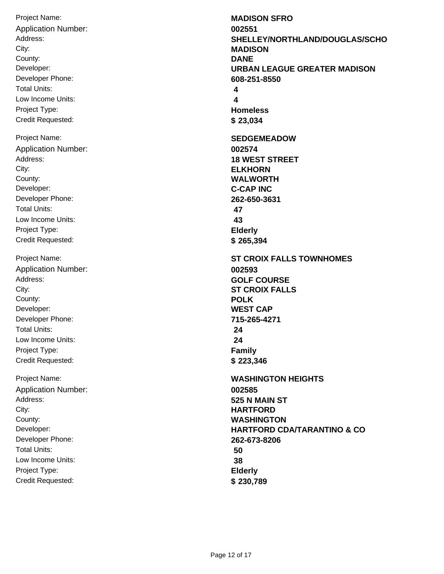Project Name: Address: City: Developer: Developer Phone: Total Units: Low Income Units: Project Type: Credit Requested: County: **DANE** Application Number: **002551** Project Name: Address: City: Developer: Developer Phone: Total Units: Low Income Units: Project Type: Credit Requested: County: **WALWORTH** Application Number: **002574** Project Name: Address: City: Developer: Developer Phone: Total Units: Low Income Units: Project Type: Credit Requested: County: **POLK** Application Number: **002593** Project Name: Address: City: Developer: Developer Phone: Total Units: Low Income Units: Project Type: Credit Requested: County: **WASHINGTON** Application Number: **002585**

**MADISON SFRO SHELLEY/NORTHLAND/DOUGLAS/SCHO MADISON URBAN LEAGUE GREATER MADISON 608-251-8550 4 4 Homeless \$ 23,034 SEDGEMEADOW 18 WEST STREET ELKHORN C-CAP INC 262-650-3631 47 43 Elderly \$ 265,394 ST CROIX FALLS TOWNHOMES GOLF COURSE ST CROIX FALLS WEST CAP 715-265-4271 24 24 Family \$ 223,346 WASHINGTON HEIGHTS 525 N MAIN ST HARTFORD HARTFORD CDA/TARANTINO & CO 262-673-8206 50 38 Elderly \$ 230,789**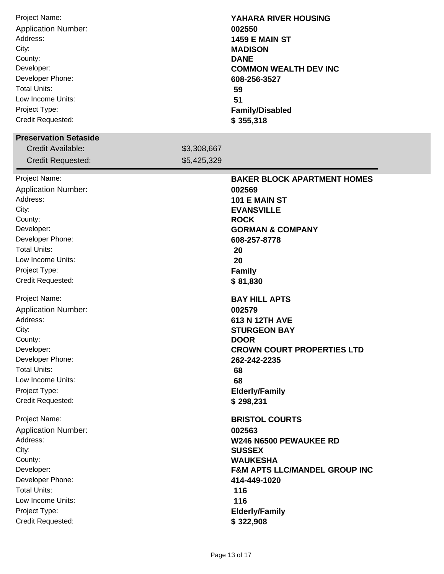| Project Name:<br><b>Application Number:</b><br>Address:<br>City:<br>County:<br>Developer:<br>Developer Phone:<br><b>Total Units:</b><br>Low Income Units:<br>Project Type:<br>Credit Requested:                                                                                                                                                                                                    |             | YAHARA RIVER HOUSING<br>002550<br><b>1459 E MAIN ST</b><br><b>MADISON</b><br><b>DANE</b><br><b>COMMON WEALTH DEV INC</b><br>608-256-3527<br>59<br>51<br><b>Family/Disabled</b><br>\$355,318                                                                                                                                                                                                |
|----------------------------------------------------------------------------------------------------------------------------------------------------------------------------------------------------------------------------------------------------------------------------------------------------------------------------------------------------------------------------------------------------|-------------|--------------------------------------------------------------------------------------------------------------------------------------------------------------------------------------------------------------------------------------------------------------------------------------------------------------------------------------------------------------------------------------------|
| <b>Preservation Setaside</b><br>Credit Available:                                                                                                                                                                                                                                                                                                                                                  | \$3,308,667 |                                                                                                                                                                                                                                                                                                                                                                                            |
| <b>Credit Requested:</b>                                                                                                                                                                                                                                                                                                                                                                           | \$5,425,329 |                                                                                                                                                                                                                                                                                                                                                                                            |
| Project Name:<br><b>Application Number:</b><br>Address:<br>City:<br>County:<br>Developer:<br>Developer Phone:<br><b>Total Units:</b><br>Low Income Units:<br>Project Type:<br>Credit Requested:<br>Project Name:<br><b>Application Number:</b><br>Address:<br>City:<br>County:<br>Developer:<br>Developer Phone:<br><b>Total Units:</b><br>Low Income Units:<br>Project Type:<br>Credit Requested: |             | <b>BAKER BLOCK APARTMENT HOMES</b><br>002569<br>101 E MAIN ST<br><b>EVANSVILLE</b><br><b>ROCK</b><br><b>GORMAN &amp; COMPANY</b><br>608-257-8778<br>20<br>20<br><b>Family</b><br>\$81,830<br><b>BAY HILL APTS</b><br>002579<br>613 N 12TH AVE<br><b>STURGEON BAY</b><br><b>DOOR</b><br><b>CROWN COURT PROPERTIES LTD</b><br>262-242-2235<br>68<br>68<br><b>Elderly/Family</b><br>\$298,231 |
| Project Name:<br><b>Application Number:</b><br>Address:<br>City:<br>County:<br>Developer:<br>Developer Phone:<br><b>Total Units:</b><br>Low Income Units:<br>Project Type:<br>Credit Requested:                                                                                                                                                                                                    |             | <b>BRISTOL COURTS</b><br>002563<br>W246 N6500 PEWAUKEE RD<br><b>SUSSEX</b><br><b>WAUKESHA</b><br><b>F&amp;M APTS LLC/MANDEL GROUP INC</b><br>414-449-1020<br>116<br>116<br><b>Elderly/Family</b><br>\$322,908                                                                                                                                                                              |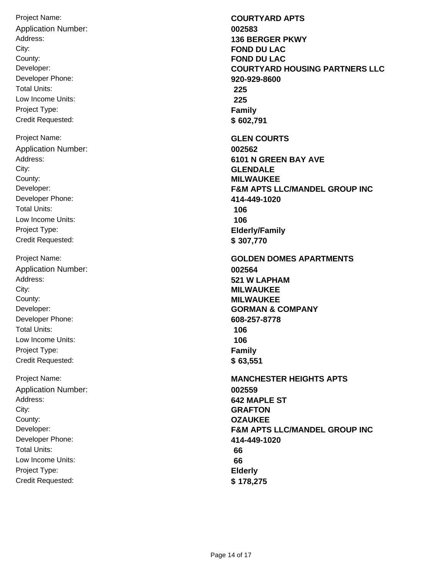Project Name: Address: City: Developer: Developer Phone: Total Units: Low Income Units: Project Type: Credit Requested: County: **FOND DU LAC** Application Number: **002583** Project Name: Address: City: Developer: Developer Phone: Total Units: Low Income Units: Project Type: Credit Requested: County: **MILWAUKEE** Application Number: **002562** Project Name: Address: City: Developer: Developer Phone: Total Units: Low Income Units: Project Type: Credit Requested: County: **MILWAUKEE** Application Number: **002564** Project Name: Address: City: Developer: Developer Phone: Total Units: Low Income Units: Project Type: Credit Requested: County: **OZAUKEE** Application Number: **002559**

**COURTYARD APTS 136 BERGER PKWY FOND DU LAC COURTYARD HOUSING PARTNERS LLC 920-929-8600 225 225 Family \$ 602,791 GLEN COURTS 6101 N GREEN BAY AVE GLENDALE F&M APTS LLC/MANDEL GROUP INC 414-449-1020 106 106 Elderly/Family \$ 307,770 GOLDEN DOMES APARTMENTS 521 W LAPHAM MILWAUKEE GORMAN & COMPANY 608-257-8778 106 106 Family \$ 63,551 MANCHESTER HEIGHTS APTS 642 MAPLE ST GRAFTON F&M APTS LLC/MANDEL GROUP INC 414-449-1020 66 66 Elderly \$ 178,275**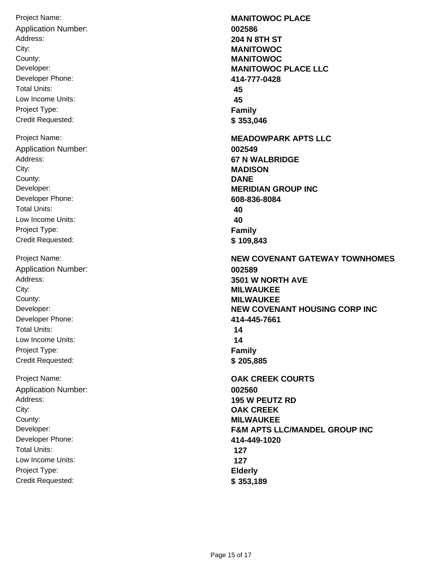Project Name: Address: City: Developer: Developer Phone: Total Units: Low Income Units: Project Type: Credit Requested: County: **MANITOWOC** Application Number: **002586** Project Name: Address: City: Developer: Developer Phone: Total Units: Low Income Units: Project Type: Credit Requested: County: **DANE** Application Number: **002549** Project Name: Address: City: Developer: Developer Phone: Total Units: Low Income Units: Project Type: Credit Requested: County: **MILWAUKEE** Application Number: **002589** Project Name: Address: City: Developer: Developer Phone: Total Units: Low Income Units: Project Type: Credit Requested: County: **MILWAUKEE** Application Number: **002560**

**MANITOWOC PLACE 204 N 8TH ST MANITOWOC MANITOWOC PLACE LLC 414-777-0428 45 45 Family \$ 353,046 MEADOWPARK APTS LLC 67 N WALBRIDGE MADISON MERIDIAN GROUP INC 608-836-8084 40 40 Family \$ 109,843 NEW COVENANT GATEWAY TOWNHOMES 3501 W NORTH AVE MILWAUKEE NEW COVENANT HOUSING CORP INC 414-445-7661 14 14 Family \$ 205,885 OAK CREEK COURTS 195 W PEUTZ RD OAK CREEK F&M APTS LLC/MANDEL GROUP INC 414-449-1020 127 127 Elderly \$ 353,189**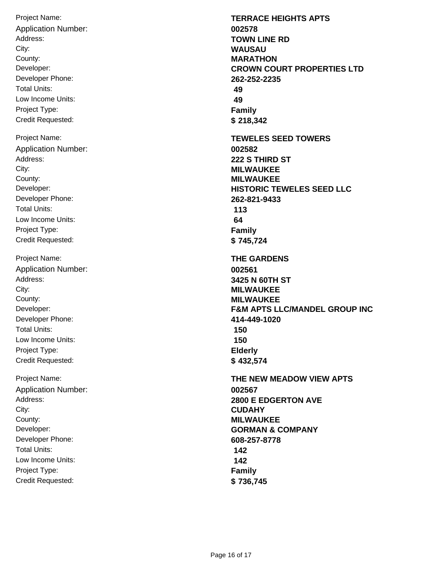Project Name: Address: City: Developer: Developer Phone: Total Units: Low Income Units: Project Type: Credit Requested: County: **MARATHON** Application Number: **002578** Project Name: Address: City: Developer: Developer Phone: Total Units: Low Income Units: Project Type: Credit Requested: County: **MILWAUKEE** Application Number: **002582** Project Name: Address: City: Developer: Developer Phone: Total Units: Low Income Units: Project Type: Credit Requested: County: **MILWAUKEE** Application Number: **002561** Project Name: Address: City: Developer: Developer Phone: Total Units: Low Income Units: Project Type: Credit Requested: County: **MILWAUKEE** Application Number: **002567**

**TERRACE HEIGHTS APTS TOWN LINE RD WAUSAU CROWN COURT PROPERTIES LTD 262-252-2235 49 49 Family \$ 218,342 TEWELES SEED TOWERS 222 S THIRD ST MILWAUKEE HISTORIC TEWELES SEED LLC 262-821-9433 113 64 Family \$ 745,724 THE GARDENS 3425 N 60TH ST MILWAUKEE F&M APTS LLC/MANDEL GROUP INC 414-449-1020 150 150 Elderly \$ 432,574 THE NEW MEADOW VIEW APTS 2800 E EDGERTON AVE CUDAHY GORMAN & COMPANY 608-257-8778 142 142 Family \$ 736,745**